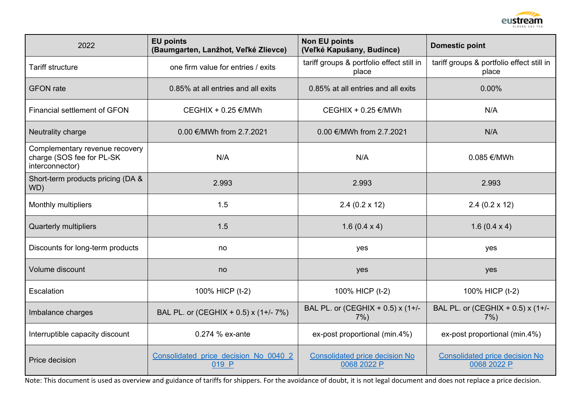

| 2022                                                                           | <b>EU points</b><br>(Baumgarten, Lanžhot, Veľké Zlievce) | <b>Non EU points</b><br>(Veľké Kapušany, Budince)                                            | <b>Domestic point</b>                                |  |
|--------------------------------------------------------------------------------|----------------------------------------------------------|----------------------------------------------------------------------------------------------|------------------------------------------------------|--|
| <b>Tariff structure</b>                                                        | one firm value for entries / exits                       | tariff groups & portfolio effect still in<br>place                                           | tariff groups & portfolio effect still in<br>place   |  |
| <b>GFON</b> rate                                                               | 0.85% at all entries and all exits                       | 0.85% at all entries and all exits                                                           | 0.00%                                                |  |
| <b>Financial settlement of GFON</b>                                            | CEGHIX + 0.25 €/MWh                                      | CEGHIX + 0.25 €/MWh                                                                          | N/A                                                  |  |
| Neutrality charge                                                              | 0.00 €/MWh from 2.7.2021                                 | 0.00 €/MWh from 2.7.2021                                                                     | N/A                                                  |  |
| Complementary revenue recovery<br>charge (SOS fee for PL-SK<br>interconnector) | N/A                                                      | N/A                                                                                          | 0.085 €/MWh                                          |  |
| Short-term products pricing (DA &<br>WD)                                       | 2.993                                                    | 2.993                                                                                        | 2.993                                                |  |
| Monthly multipliers                                                            | 1.5                                                      | $2.4(0.2 \times 12)$                                                                         | $2.4(0.2 \times 12)$                                 |  |
| <b>Quarterly multipliers</b>                                                   | 1.5                                                      | 1.6 $(0.4 \times 4)$                                                                         | 1.6 $(0.4 \times 4)$                                 |  |
| Discounts for long-term products                                               | no                                                       | yes                                                                                          | yes                                                  |  |
| Volume discount                                                                | no                                                       | yes                                                                                          | yes                                                  |  |
| Escalation                                                                     | 100% HICP (t-2)                                          | 100% HICP (t-2)                                                                              | 100% HICP (t-2)                                      |  |
| Imbalance charges                                                              | BAL PL. or (CEGHIX + 0.5) x (1+/- 7%)                    | BAL PL. or (CEGHIX + 0.5) x (1+/-<br>BAL PL. or (CEGHIX + 0.5) x (1+/-<br>$7\%$ )<br>$7\%$ ) |                                                      |  |
| Interruptible capacity discount                                                | 0.274 % ex-ante                                          | ex-post proportional (min.4%)                                                                | ex-post proportional (min.4%)                        |  |
| Price decision                                                                 | Consolidated price decision No 0040 2<br>019 P           | <b>Consolidated price decision No</b><br>0068 2022 P                                         | <b>Consolidated price decision No</b><br>0068 2022 P |  |

Note: This document is used as overview and guidance of tariffs for shippers. For the avoidance of doubt, it is not legal document and does not replace a price decision.